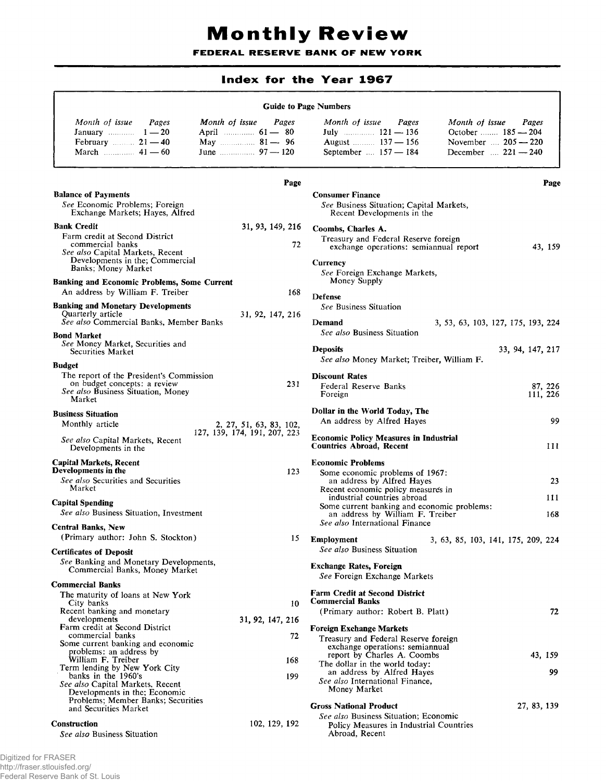## **Monthly Review**

FEDERAL RESERVE BANK OF NEW YORK

## **Index for the Year 1967**

## **Guide to Page Numbers**

| Month of issue<br>Pages | Month of issue<br>Pages | Month of issue<br>Pages      | Month of issue<br>Pages    |
|-------------------------|-------------------------|------------------------------|----------------------------|
| January $1-20$          | April $\ldots$ 61 — 80  |                              | October 185 - 204          |
| February $21 - 40$      | May 200 81 - 96         | August $\ldots$ 137 – 156    | November $205 - 220$       |
| March $\ldots$ 41 — 60  | June $\frac{97}{120}$   | September $\ldots$ 157 — 184 | December $\dots$ 221 - 240 |

|                                                                                                                                                                             | Page                                                    |                                                                                                                                                                                                                                                                                     | Page                               |
|-----------------------------------------------------------------------------------------------------------------------------------------------------------------------------|---------------------------------------------------------|-------------------------------------------------------------------------------------------------------------------------------------------------------------------------------------------------------------------------------------------------------------------------------------|------------------------------------|
| <b>Balance of Payments</b><br>See Economic Problems; Foreign<br>Exchange Markets; Hayes, Alfred                                                                             |                                                         | <b>Consumer Finance</b><br>See Business Situation; Capital Markets,<br>Recent Developments in the                                                                                                                                                                                   |                                    |
| <b>Bank Credit</b><br>Farm credit at Second District<br>commercial banks<br>See also Capital Markets, Recent<br>Developments in the; Commercial<br>Banks; Money Market      | 31, 93, 149, 216<br>72                                  | Coombs, Charles A.<br>Treasury and Federal Reserve foreign<br>exchange operations: semiannual report<br><b>Currency</b><br>See Foreign Exchange Markets,                                                                                                                            | 43, 159                            |
| <b>Banking and Economic Problems, Some Current</b><br>An address by William F. Treiber                                                                                      | 168                                                     | Money Supply<br>Defense                                                                                                                                                                                                                                                             |                                    |
| <b>Banking and Monetary Developments</b><br>Quarterly article<br>See also Commercial Banks, Member Banks                                                                    | 31, 92, 147, 216                                        | See Business Situation<br>Demand                                                                                                                                                                                                                                                    | 3, 53, 63, 103, 127, 175, 193, 224 |
| <b>Bond Market</b><br>See Money Market, Securities and<br>Securities Market<br><b>Budget</b>                                                                                |                                                         | See also Business Situation<br><b>Deposits</b><br>See also Money Market; Treiber, William F.                                                                                                                                                                                        | 33, 94, 147, 217                   |
| The report of the President's Commission<br>on budget concepts: a review<br>See also Business Situation, Money<br>Market                                                    | 231                                                     | <b>Discount Rates</b><br>Federal Reserve Banks<br>Foreign                                                                                                                                                                                                                           | 87, 226<br>111, 226                |
| <b>Business Situation</b>                                                                                                                                                   |                                                         | Dollar in the World Today, The<br>An address by Alfred Hayes                                                                                                                                                                                                                        | 99                                 |
| Monthly article<br>See also Capital Markets, Recent<br>Developments in the                                                                                                  | 2, 27, 51, 63, 83, 102,<br>127, 139, 174, 191, 207, 223 | <b>Economic Policy Measures in Industrial</b><br><b>Countries Abroad, Recent</b>                                                                                                                                                                                                    | 111                                |
| <b>Capital Markets, Recent</b><br>Developments in the<br>See also Securities and Securities<br>Market<br><b>Capital Spending</b><br>See also Business Situation, Investment | 123                                                     | <b>Economic Problems</b><br>Some economic problems of 1967:<br>an address by Alfred Hayes<br>Recent economic policy measures in<br>industrial countries abroad<br>Some current banking and economic problems:<br>an address by William F. Treiber<br>See also International Finance | 23<br>111<br>168                   |
| <b>Central Banks, New</b><br>(Primary author: John S. Stockton)                                                                                                             | 15                                                      | Employment                                                                                                                                                                                                                                                                          | 3, 63, 85, 103, 141, 175, 209, 224 |
| <b>Certificates of Deposit</b><br>See Banking and Monetary Developments,<br>Commercial Banks, Money Market                                                                  |                                                         | See also Business Situation<br><b>Exchange Rates, Foreign</b><br>See Foreign Exchange Markets                                                                                                                                                                                       |                                    |
| <b>Commercial Banks</b><br>The maturity of loans at New York<br>City banks                                                                                                  | 10                                                      | <b>Farm Credit at Second District</b><br><b>Commercial Banks</b>                                                                                                                                                                                                                    |                                    |
| Recent banking and monetary<br>developments<br>Farm credit at Second District<br>commercial banks<br>Some current banking and economic                                      | 31, 92, 147, 216<br>72                                  | (Primary author: Robert B. Platt)<br><b>Foreign Exchange Markets</b><br>Treasury and Federal Reserve foreign<br>exchange operations: semiannual                                                                                                                                     | 72                                 |
| problems: an address by<br>William F. Treiber<br>Term lending by New York City                                                                                              | 168                                                     | report by Charles A. Coombs<br>The dollar in the world today:                                                                                                                                                                                                                       | 43, 159                            |
| banks in the 1960's<br>See also Capital Markets, Recent<br>Developments in the; Economic<br>Problems: Member Banks; Securities                                              | 199                                                     | an address by Alfred Hayes<br>See also International Finance,<br>Money Market<br><b>Gross National Product</b>                                                                                                                                                                      | 99.<br>27, 83, 139                 |
| and Securities Market<br><b>Construction</b><br>See also Business Situation                                                                                                 | 102, 129, 192                                           | See also Business Situation; Economic<br>Policy Measures in Industrial Countries<br>Abroad, Recent                                                                                                                                                                                  |                                    |